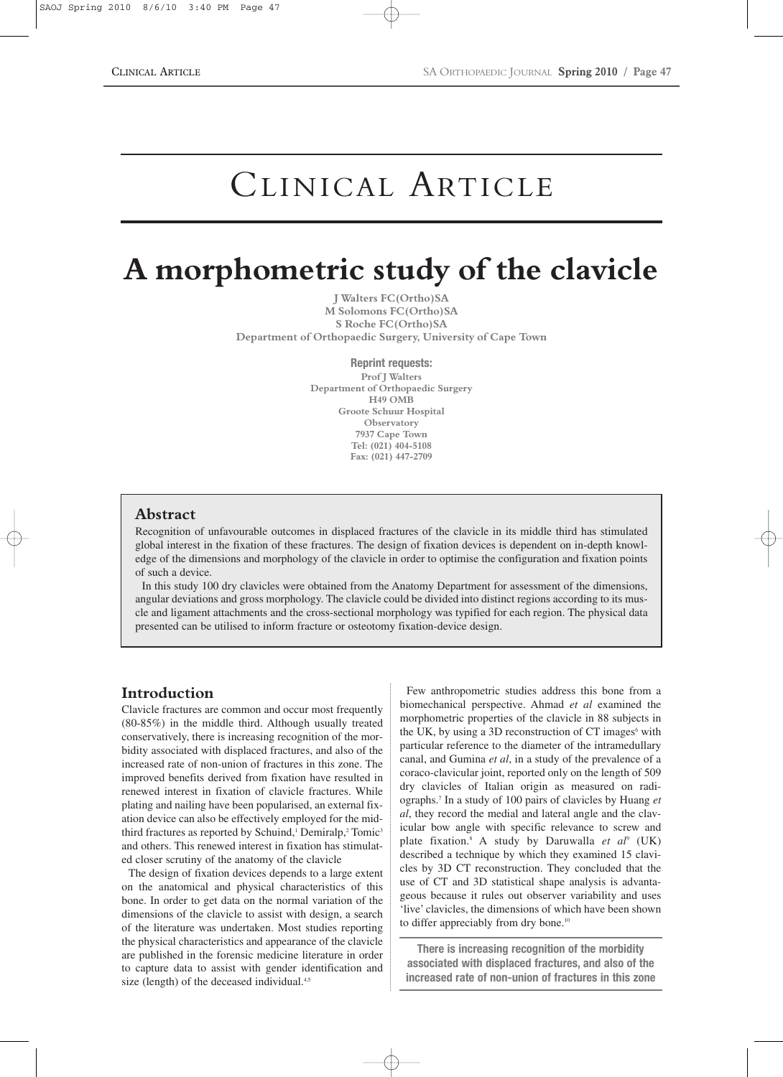# CLINICAL ARTICLE

# **A morphometric study of the clavicle**

**J Walters FC(Ortho)SA M Solomons FC(Ortho)SA S Roche FC(Ortho)SA Department of Orthopaedic Surgery, University of Cape Town**

**Reprint requests:**

**Prof J Walters Department of Orthopaedic Surgery H49 OMB Groote Schuur Hospital Observatory 7937 Cape Town Tel: (021) 404-5108 Fax: (021) 447-2709**

#### **Abstract**

Recognition of unfavourable outcomes in displaced fractures of the clavicle in its middle third has stimulated global interest in the fixation of these fractures. The design of fixation devices is dependent on in-depth knowledge of the dimensions and morphology of the clavicle in order to optimise the configuration and fixation points of such a device.

In this study 100 dry clavicles were obtained from the Anatomy Department for assessment of the dimensions, angular deviations and gross morphology. The clavicle could be divided into distinct regions according to its muscle and ligament attachments and the cross-sectional morphology was typified for each region. The physical data presented can be utilised to inform fracture or osteotomy fixation-device design.

# **Introduction**

Clavicle fractures are common and occur most frequently (80-85%) in the middle third. Although usually treated conservatively, there is increasing recognition of the morbidity associated with displaced fractures, and also of the increased rate of non-union of fractures in this zone. The improved benefits derived from fixation have resulted in renewed interest in fixation of clavicle fractures. While plating and nailing have been popularised, an external fixation device can also be effectively employed for the midthird fractures as reported by Schuind,<sup>1</sup> Demiralp,<sup>2</sup> Tomic<sup>3</sup> and others. This renewed interest in fixation has stimulated closer scrutiny of the anatomy of the clavicle

The design of fixation devices depends to a large extent on the anatomical and physical characteristics of this bone. In order to get data on the normal variation of the dimensions of the clavicle to assist with design, a search of the literature was undertaken. Most studies reporting the physical characteristics and appearance of the clavicle are published in the forensic medicine literature in order to capture data to assist with gender identification and size (length) of the deceased individual.<sup>4,5</sup>

Few anthropometric studies address this bone from a biomechanical perspective. Ahmad *et al* examined the morphometric properties of the clavicle in 88 subjects in the UK, by using a 3D reconstruction of  $CT$  images $6$  with particular reference to the diameter of the intramedullary canal, and Gumina *et al*, in a study of the prevalence of a coraco-clavicular joint, reported only on the length of 509 dry clavicles of Italian origin as measured on radiographs.7 In a study of 100 pairs of clavicles by Huang *et al*, they record the medial and lateral angle and the clavicular bow angle with specific relevance to screw and plate fixation.8 A study by Daruwalla *et al*<sup>9</sup> (UK) described a technique by which they examined 15 clavicles by 3D CT reconstruction. They concluded that the use of CT and 3D statistical shape analysis is advantageous because it rules out observer variability and uses 'live' clavicles, the dimensions of which have been shown to differ appreciably from dry bone.<sup>10</sup>

**There is increasing recognition of the morbidity associated with displaced fractures, and also of the increased rate of non-union of fractures in this zone**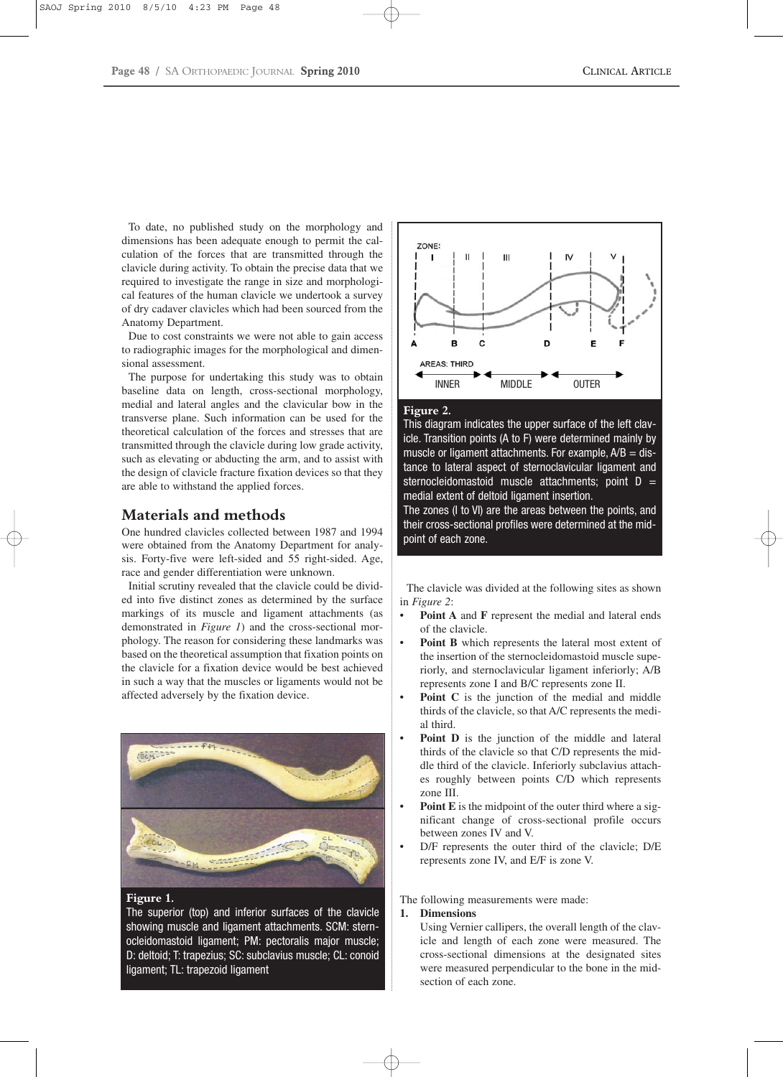To date, no published study on the morphology and dimensions has been adequate enough to permit the calculation of the forces that are transmitted through the clavicle during activity. To obtain the precise data that we required to investigate the range in size and morphological features of the human clavicle we undertook a survey of dry cadaver clavicles which had been sourced from the Anatomy Department.

Due to cost constraints we were not able to gain access to radiographic images for the morphological and dimensional assessment.

The purpose for undertaking this study was to obtain baseline data on length, cross-sectional morphology, medial and lateral angles and the clavicular bow in the transverse plane. Such information can be used for the theoretical calculation of the forces and stresses that are transmitted through the clavicle during low grade activity, such as elevating or abducting the arm, and to assist with the design of clavicle fracture fixation devices so that they are able to withstand the applied forces.

# **Materials and methods**

One hundred clavicles collected between 1987 and 1994 were obtained from the Anatomy Department for analysis. Forty-five were left-sided and 55 right-sided. Age, race and gender differentiation were unknown.

Initial scrutiny revealed that the clavicle could be divided into five distinct zones as determined by the surface markings of its muscle and ligament attachments (as demonstrated in *Figure 1*) and the cross-sectional morphology. The reason for considering these landmarks was based on the theoretical assumption that fixation points on the clavicle for a fixation device would be best achieved in such a way that the muscles or ligaments would not be affected adversely by the fixation device.



#### **Figure 1.**

The superior (top) and inferior surfaces of the clavicle showing muscle and ligament attachments. SCM: sternocleidomastoid ligament; PM: pectoralis major muscle; D: deltoid; T: trapezius; SC: subclavius muscle; CL: conoid ligament; TL: trapezoid ligament



#### **Figure 2.**

This diagram indicates the upper surface of the left clavicle. Transition points (A to F) were determined mainly by muscle or ligament attachments. For example,  $A/B = dis$ tance to lateral aspect of sternoclavicular ligament and sternocleidomastoid muscle attachments; point  $D =$ medial extent of deltoid ligament insertion.

The zones (I to VI) are the areas between the points, and their cross-sectional profiles were determined at the midpoint of each zone.

The clavicle was divided at the following sites as shown in *Figure 2*:

- Point A and F represent the medial and lateral ends of the clavicle.
- Point B which represents the lateral most extent of the insertion of the sternocleidomastoid muscle superiorly, and sternoclavicular ligament inferiorly; A/B represents zone I and B/C represents zone II.
- **Point C** is the junction of the medial and middle thirds of the clavicle, so that A/C represents the medial third.
- **Point D** is the junction of the middle and lateral thirds of the clavicle so that C/D represents the middle third of the clavicle. Inferiorly subclavius attaches roughly between points C/D which represents zone III.
- Point E is the midpoint of the outer third where a significant change of cross-sectional profile occurs between zones IV and V.
- D/F represents the outer third of the clavicle; D/E represents zone IV, and E/F is zone V.

The following measurements were made:

#### **1. Dimensions**

Using Vernier callipers, the overall length of the clavicle and length of each zone were measured. The cross-sectional dimensions at the designated sites were measured perpendicular to the bone in the midsection of each zone.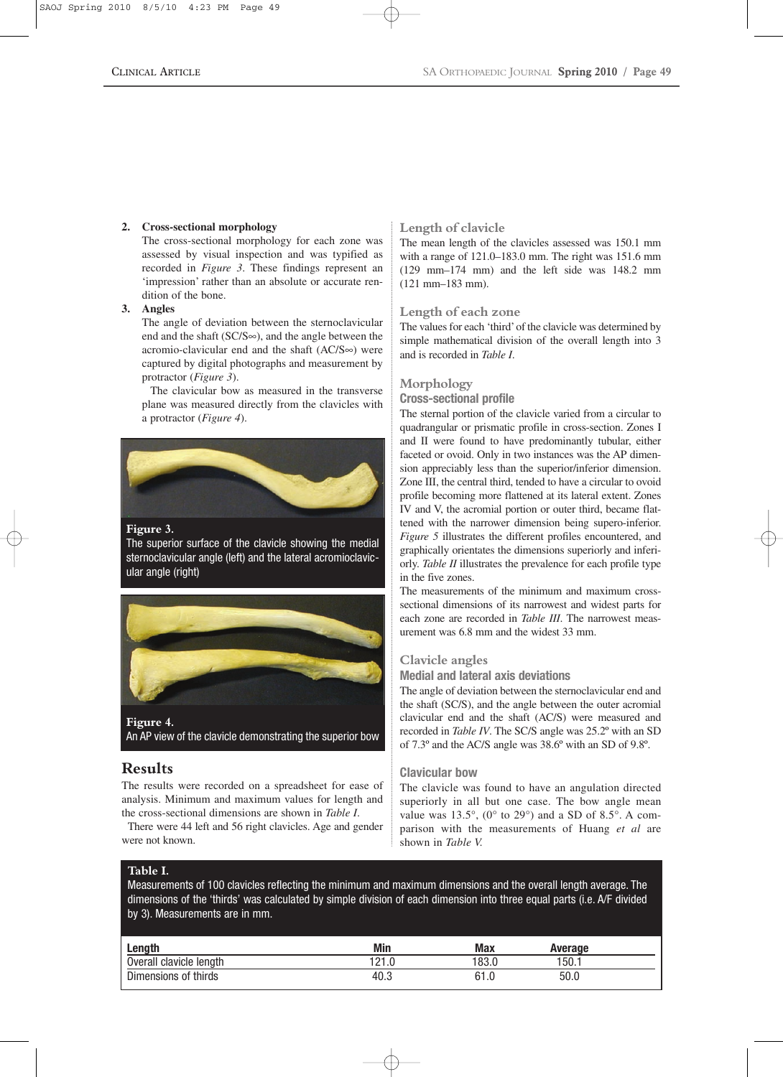#### **2. Cross-sectional morphology**

The cross-sectional morphology for each zone was assessed by visual inspection and was typified as recorded in *Figure 3*. These findings represent an 'impression' rather than an absolute or accurate rendition of the bone.

# **3. Angles**

The angle of deviation between the sternoclavicular end and the shaft (SC/S∞), and the angle between the acromio-clavicular end and the shaft (AC/S∞) were captured by digital photographs and measurement by protractor (*Figure 3*).

The clavicular bow as measured in the transverse plane was measured directly from the clavicles with a protractor (*Figure 4*).



#### **Figure 3.**

The superior surface of the clavicle showing the medial sternoclavicular angle (left) and the lateral acromioclavicular angle (right)



An AP view of the clavicle demonstrating the superior bow

# **Results**

The results were recorded on a spreadsheet for ease of analysis. Minimum and maximum values for length and the cross-sectional dimensions are shown in *Table I*.

There were 44 left and 56 right clavicles. Age and gender were not known.

#### **Length of clavicle**

The mean length of the clavicles assessed was 150.1 mm with a range of 121.0–183.0 mm. The right was 151.6 mm (129 mm–174 mm) and the left side was 148.2 mm (121 mm–183 mm).

#### **Length of each zone**

The values for each 'third'of the clavicle was determined by simple mathematical division of the overall length into 3 and is recorded in *Table I*.

#### **Morphology**

#### **Cross-sectional profile**

The sternal portion of the clavicle varied from a circular to quadrangular or prismatic profile in cross-section. Zones I and II were found to have predominantly tubular, either faceted or ovoid. Only in two instances was the AP dimension appreciably less than the superior/inferior dimension. Zone III, the central third, tended to have a circular to ovoid profile becoming more flattened at its lateral extent. Zones IV and V, the acromial portion or outer third, became flattened with the narrower dimension being supero-inferior. *Figure 5* illustrates the different profiles encountered, and graphically orientates the dimensions superiorly and inferiorly. *Table II* illustrates the prevalence for each profile type in the five zones.

The measurements of the minimum and maximum crosssectional dimensions of its narrowest and widest parts for each zone are recorded in *Table III*. The narrowest measurement was 6.8 mm and the widest 33 mm.

#### **Clavicle angles**

**Medial and lateral axis deviations**

The angle of deviation between the sternoclavicular end and the shaft (SC/S), and the angle between the outer acromial clavicular end and the shaft (AC/S) were measured and recorded in *Table IV*. The SC/S angle was 25.2º with an SD of 7.3º and the AC/S angle was 38.6º with an SD of 9.8º.

#### **Clavicular bow**

The clavicle was found to have an angulation directed superiorly in all but one case. The bow angle mean value was  $13.5^{\circ}$ , (0° to 29°) and a SD of 8.5°. A comparison with the measurements of Huang *et al* are shown in *Table V.*

#### **Table I.**

Measurements of 100 clavicles reflecting the minimum and maximum dimensions and the overall length average. The dimensions of the 'thirds' was calculated by simple division of each dimension into three equal parts (i.e. A/F divided by 3). Measurements are in mm.

| Length                  | <b>Min</b>  | Max  | Average |  |
|-------------------------|-------------|------|---------|--|
| Overall clavicle length | 101<br>41.U | 83.0 | 150.    |  |
| Dimensions of thirds    | 40.3        | 61.0 | 50.0    |  |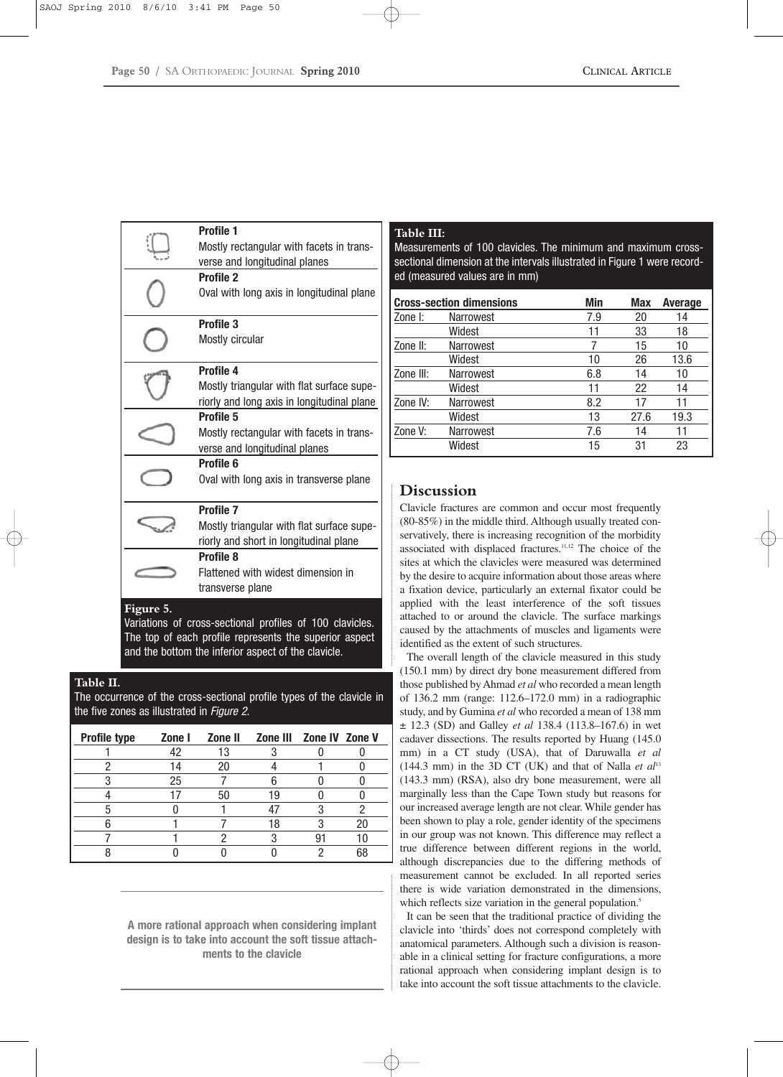|           | <b>Profile 1</b>                                        |  |
|-----------|---------------------------------------------------------|--|
|           | Mostly rectangular with facets in trans-                |  |
|           | verse and longitudinal planes                           |  |
|           | <b>Profile 2</b>                                        |  |
|           | Oval with long axis in longitudinal plane               |  |
|           | <b>Profile 3</b>                                        |  |
|           | Mostly circular                                         |  |
|           | Profile 4                                               |  |
|           | Mostly triangular with flat surface supe-               |  |
|           | riorly and long axis in longitudinal plane              |  |
| Profile 5 |                                                         |  |
|           | Mostly rectangular with facets in trans-                |  |
|           | verse and longitudinal planes                           |  |
|           | Profile 6                                               |  |
|           | Oval with long axis in transverse plane                 |  |
|           | <b>Profile 7</b>                                        |  |
|           | Mostly triangular with flat surface supe-               |  |
|           | riorly and short in longitudinal plane                  |  |
|           | <b>Profile 8</b>                                        |  |
|           | Flattened with widest dimension in                      |  |
|           | transverse plane                                        |  |
| Figure 5. |                                                         |  |
|           | Variatione of cross-sectional profiles of 100 clavicles |  |

Variations of cross-sectional profiles of 100 clavicles. The top of each profile represents the superior aspect and the bottom the inferior aspect of the clavicle.

# **Table II.**

The occurrence of the cross-sectional profile types of the clavicle in the five zones as illustrated in *Figure 2.*

| <b>Profile type</b> | Zone I | Zone II | Zone III Zone IV Zone V |  |
|---------------------|--------|---------|-------------------------|--|
|                     |        | 13      |                         |  |
|                     |        | 20      |                         |  |
|                     | 25     |         |                         |  |
|                     |        | 50      | ıч                      |  |
|                     |        |         |                         |  |
|                     |        |         | 18                      |  |
|                     |        |         |                         |  |
|                     |        |         |                         |  |

**A more rational approach when considering implant design is to take into account the soft tissue attachments to the clavicle**

#### **Table III:**

Measurements of 100 clavicles. The minimum and maximum crosssectional dimension at the intervals illustrated in Figure 1 were recorded (measured values are in mm)

| <b>Cross-section dimensions</b> |                  | Min | Max  | <b>Average</b> |
|---------------------------------|------------------|-----|------|----------------|
| I Zone I:                       | <b>Narrowest</b> | 7.9 | 20   | 14             |
|                                 | Widest           | 11  | 33   | 18             |
| Zone II:                        | <b>Narrowest</b> |     | 15   | 10             |
|                                 | Widest           | 10  | 26   | 13.6           |
| Zone III:                       | Narrowest        | 6.8 | 14   | 10             |
|                                 | Widest           | 11  | 22   | 14             |
| Zone IV:                        | <b>Narrowest</b> | 8.2 | 17   | 11             |
|                                 | Widest           | 13  | 27.6 | 19.3           |
| Zone V:                         | <b>Narrowest</b> | 7.6 | 14   | 11             |
|                                 | Widest           | 15  | 31   | 23             |

# **Discussion**

Clavicle fractures are common and occur most frequently (80-85%) in the middle third. Although usually treated conservatively, there is increasing recognition of the morbidity associated with displaced fractures.11,12 The choice of the sites at which the clavicles were measured was determined by the desire to acquire information about those areas where a fixation device, particularly an external fixator could be applied with the least interference of the soft tissues attached to or around the clavicle. The surface markings caused by the attachments of muscles and ligaments were identified as the extent of such structures.

The overall length of the clavicle measured in this study (150.1 mm) by direct dry bone measurement differed from those published by Ahmad *et al* who recorded a mean length of 136.2 mm (range: 112.6–172.0 mm) in a radiographic study, and by Gumina *et al* who recorded a mean of 138 mm ± 12.3 (SD) and Galley *et al* 138.4 (113.8–167.6) in wet cadaver dissections. The results reported by Huang (145.0 mm) in a CT study (USA), that of Daruwalla *et al*  $(144.3 \text{ mm})$  in the 3D CT (UK) and that of Nalla *et al*<sup>13</sup> (143.3 mm) (RSA), also dry bone measurement, were all marginally less than the Cape Town study but reasons for our increased average length are not clear. While gender has been shown to play a role, gender identity of the specimens in our group was not known. This difference may reflect a true difference between different regions in the world, although discrepancies due to the differing methods of measurement cannot be excluded. In all reported series there is wide variation demonstrated in the dimensions, which reflects size variation in the general population.<sup>5</sup>

It can be seen that the traditional practice of dividing the clavicle into 'thirds' does not correspond completely with anatomical parameters. Although such a division is reasonable in a clinical setting for fracture configurations, a more rational approach when considering implant design is to take into account the soft tissue attachments to the clavicle.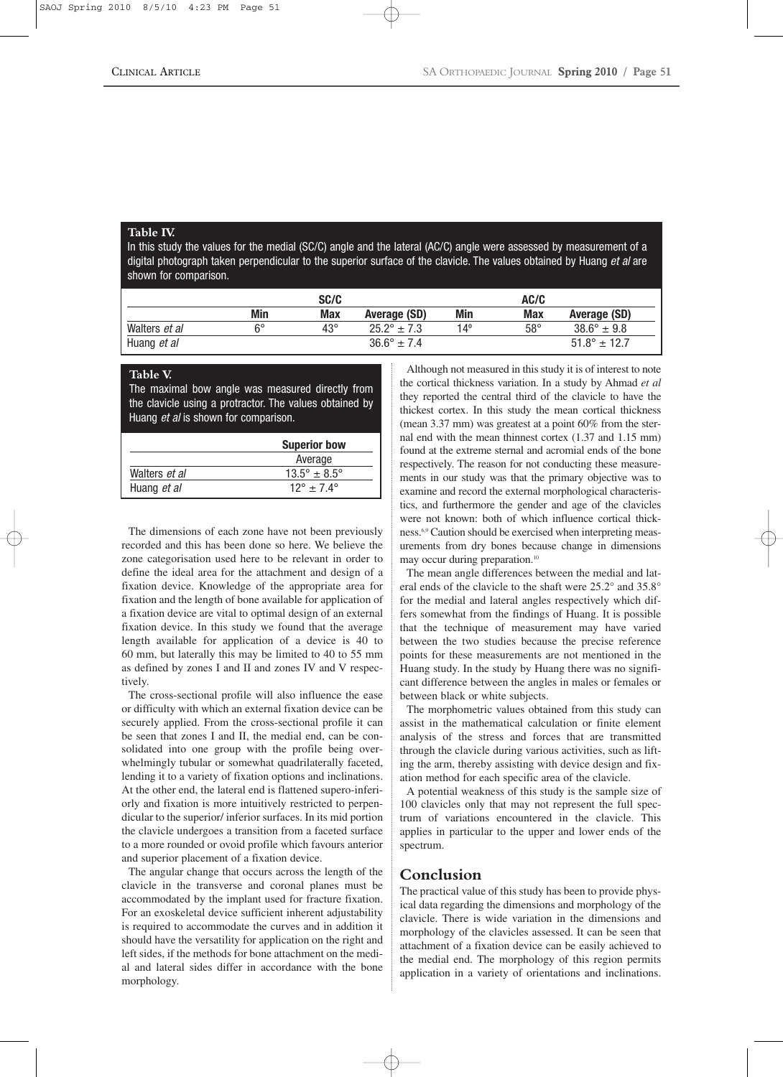#### **Table IV.**

In this study the values for the medial (SC/C) angle and the lateral (AC/C) angle were assessed by measurement of a digital photograph taken perpendicular to the superior surface of the clavicle. The values obtained by Huang *et al* are shown for comparison.

|               |            | SC/C         |                        |     | AC/C       |                        |
|---------------|------------|--------------|------------------------|-----|------------|------------------------|
|               | <b>Min</b> | <b>Max</b>   | Average (SD)           | Min | Max        | Average (SD)           |
| Walters et al | R۰         | $43^{\circ}$ | $25.2^{\circ}$ ± 7.3   | 14º | $58^\circ$ | $38.6^{\circ} \pm 9.8$ |
| Huang et al   |            |              | $36.6^{\circ} \pm 7.4$ |     |            | $51.8^{\circ}$ ± 12.7  |

#### **Table V.**

The maximal bow angle was measured directly from the clavicle using a protractor. The values obtained by Huang *et al* is shown for comparison.

|               | <b>Superior bow</b>            |
|---------------|--------------------------------|
|               | Average                        |
| Walters et al | $13.5^{\circ} \pm 8.5^{\circ}$ |
| Huang et al   | $12^{\circ}$ + 7.4 $^{\circ}$  |

The dimensions of each zone have not been previously recorded and this has been done so here. We believe the zone categorisation used here to be relevant in order to define the ideal area for the attachment and design of a fixation device. Knowledge of the appropriate area for fixation and the length of bone available for application of a fixation device are vital to optimal design of an external fixation device. In this study we found that the average length available for application of a device is 40 to 60 mm, but laterally this may be limited to 40 to 55 mm as defined by zones I and II and zones IV and V respectively.

The cross-sectional profile will also influence the ease or difficulty with which an external fixation device can be securely applied. From the cross-sectional profile it can be seen that zones I and II, the medial end, can be consolidated into one group with the profile being overwhelmingly tubular or somewhat quadrilaterally faceted, lending it to a variety of fixation options and inclinations. At the other end, the lateral end is flattened supero-inferiorly and fixation is more intuitively restricted to perpendicular to the superior/ inferior surfaces. In its mid portion the clavicle undergoes a transition from a faceted surface to a more rounded or ovoid profile which favours anterior and superior placement of a fixation device.

The angular change that occurs across the length of the clavicle in the transverse and coronal planes must be accommodated by the implant used for fracture fixation. For an exoskeletal device sufficient inherent adjustability is required to accommodate the curves and in addition it should have the versatility for application on the right and left sides, if the methods for bone attachment on the medial and lateral sides differ in accordance with the bone morphology.

Although not measured in this study it is of interest to note the cortical thickness variation. In a study by Ahmad *et al* they reported the central third of the clavicle to have the thickest cortex. In this study the mean cortical thickness (mean 3.37 mm) was greatest at a point 60% from the sternal end with the mean thinnest cortex (1.37 and 1.15 mm) found at the extreme sternal and acromial ends of the bone respectively. The reason for not conducting these measurements in our study was that the primary objective was to examine and record the external morphological characteristics, and furthermore the gender and age of the clavicles were not known: both of which influence cortical thickness.<sup>6,9</sup> Caution should be exercised when interpreting measurements from dry bones because change in dimensions may occur during preparation.<sup>10</sup>

The mean angle differences between the medial and lateral ends of the clavicle to the shaft were 25.2° and 35.8° for the medial and lateral angles respectively which differs somewhat from the findings of Huang. It is possible that the technique of measurement may have varied between the two studies because the precise reference points for these measurements are not mentioned in the Huang study. In the study by Huang there was no significant difference between the angles in males or females or between black or white subjects.

The morphometric values obtained from this study can assist in the mathematical calculation or finite element analysis of the stress and forces that are transmitted through the clavicle during various activities, such as lifting the arm, thereby assisting with device design and fixation method for each specific area of the clavicle.

A potential weakness of this study is the sample size of 100 clavicles only that may not represent the full spectrum of variations encountered in the clavicle. This applies in particular to the upper and lower ends of the spectrum.

# **Conclusion**

The practical value of this study has been to provide physical data regarding the dimensions and morphology of the clavicle. There is wide variation in the dimensions and morphology of the clavicles assessed. It can be seen that attachment of a fixation device can be easily achieved to the medial end. The morphology of this region permits application in a variety of orientations and inclinations.